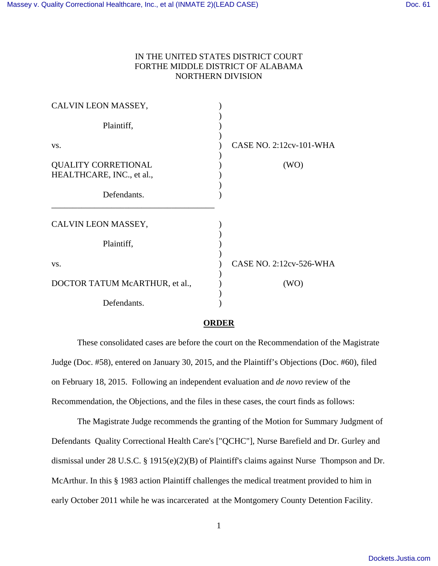## IN THE UNITED STATES DISTRICT COURT FORTHE MIDDLE DISTRICT OF ALABAMA NORTHERN DIVISION

| CALVIN LEON MASSEY,                                     |                         |
|---------------------------------------------------------|-------------------------|
| Plaintiff,                                              |                         |
| VS.                                                     | CASE NO. 2:12cv-101-WHA |
| <b>QUALITY CORRETIONAL</b><br>HEALTHCARE, INC., et al., | (WO)                    |
| Defendants.                                             |                         |
| CALVIN LEON MASSEY,                                     |                         |
| Plaintiff,                                              |                         |
| VS.                                                     | CASE NO. 2:12cv-526-WHA |
| DOCTOR TATUM McARTHUR, et al.,                          | (WO)                    |
| Defendants.                                             |                         |

## **ORDER**

 These consolidated cases are before the court on the Recommendation of the Magistrate Judge (Doc. #58), entered on January 30, 2015, and the Plaintiff's Objections (Doc. #60), filed on February 18, 2015. Following an independent evaluation and *de novo* review of the Recommendation, the Objections, and the files in these cases, the court finds as follows:

 The Magistrate Judge recommends the granting of the Motion for Summary Judgment of Defendants Quality Correctional Health Care's ["QCHC"], Nurse Barefield and Dr. Gurley and dismissal under 28 U.S.C. § 1915(e)(2)(B) of Plaintiff's claims against Nurse Thompson and Dr. McArthur. In this § 1983 action Plaintiff challenges the medical treatment provided to him in early October 2011 while he was incarcerated at the Montgomery County Detention Facility.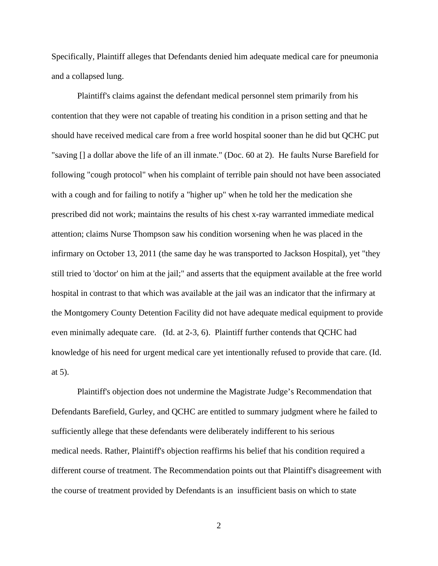Specifically, Plaintiff alleges that Defendants denied him adequate medical care for pneumonia and a collapsed lung.

 Plaintiff's claims against the defendant medical personnel stem primarily from his contention that they were not capable of treating his condition in a prison setting and that he should have received medical care from a free world hospital sooner than he did but QCHC put "saving [] a dollar above the life of an ill inmate." (Doc. 60 at 2). He faults Nurse Barefield for following "cough protocol" when his complaint of terrible pain should not have been associated with a cough and for failing to notify a "higher up" when he told her the medication she prescribed did not work; maintains the results of his chest x-ray warranted immediate medical attention; claims Nurse Thompson saw his condition worsening when he was placed in the infirmary on October 13, 2011 (the same day he was transported to Jackson Hospital), yet "they still tried to 'doctor' on him at the jail;" and asserts that the equipment available at the free world hospital in contrast to that which was available at the jail was an indicator that the infirmary at the Montgomery County Detention Facility did not have adequate medical equipment to provide even minimally adequate care. (Id. at 2-3, 6). Plaintiff further contends that QCHC had knowledge of his need for urgent medical care yet intentionally refused to provide that care. (Id. at 5).

 Plaintiff's objection does not undermine the Magistrate Judge's Recommendation that Defendants Barefield, Gurley, and QCHC are entitled to summary judgment where he failed to sufficiently allege that these defendants were deliberately indifferent to his serious medical needs. Rather, Plaintiff's objection reaffirms his belief that his condition required a different course of treatment. The Recommendation points out that Plaintiff's disagreement with the course of treatment provided by Defendants is an insufficient basis on which to state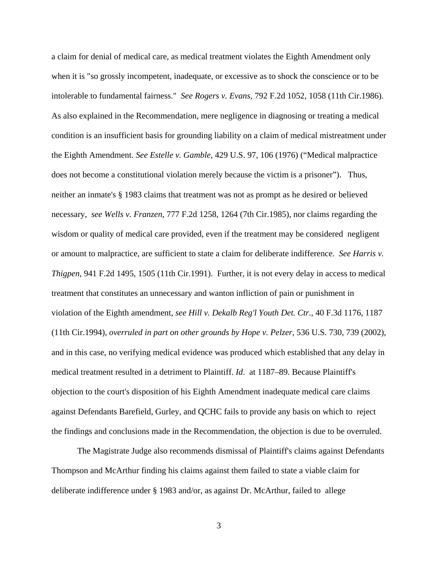a claim for denial of medical care, as medical treatment violates the Eighth Amendment only when it is "so grossly incompetent, inadequate, or excessive as to shock the conscience or to be intolerable to fundamental fairness." *See Rogers v. Evans*, 792 F.2d 1052, 1058 (11th Cir.1986). As also explained in the Recommendation, mere negligence in diagnosing or treating a medical condition is an insufficient basis for grounding liability on a claim of medical mistreatment under the Eighth Amendment. *See Estelle v. Gamble*, 429 U.S. 97, 106 (1976) ("Medical malpractice does not become a constitutional violation merely because the victim is a prisoner"). Thus, neither an inmate's § 1983 claims that treatment was not as prompt as he desired or believed necessary, *see Wells v. Franzen*, 777 F.2d 1258, 1264 (7th Cir.1985), nor claims regarding the wisdom or quality of medical care provided, even if the treatment may be considered negligent or amount to malpractice, are sufficient to state a claim for deliberate indifference. *See Harris v. Thigpen*, 941 F.2d 1495, 1505 (11th Cir.1991). Further, it is not every delay in access to medical treatment that constitutes an unnecessary and wanton infliction of pain or punishment in violation of the Eighth amendment, *see Hill v. Dekalb Reg'l Youth Det. Ctr.*, 40 F.3d 1176, 1187 (11th Cir.1994), *overruled in part on other grounds by Hope v. Pelzer*, 536 U.S. 730, 739 (2002), and in this case, no verifying medical evidence was produced which established that any delay in medical treatment resulted in a detriment to Plaintiff. *Id*. at 1187–89. Because Plaintiff's objection to the court's disposition of his Eighth Amendment inadequate medical care claims against Defendants Barefield, Gurley, and QCHC fails to provide any basis on which to reject the findings and conclusions made in the Recommendation, the objection is due to be overruled.

 The Magistrate Judge also recommends dismissal of Plaintiff's claims against Defendants Thompson and McArthur finding his claims against them failed to state a viable claim for deliberate indifference under § 1983 and/or, as against Dr. McArthur, failed to allege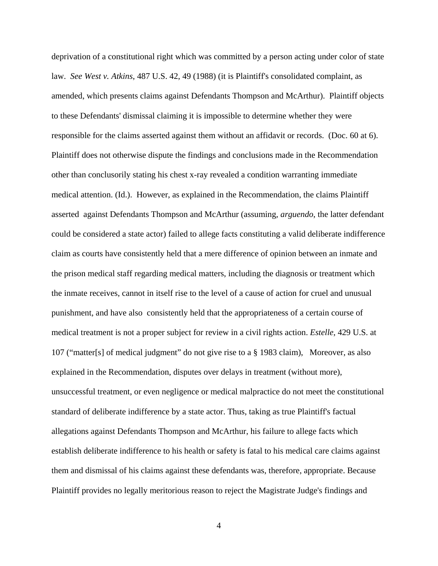deprivation of a constitutional right which was committed by a person acting under color of state law. *See West v. Atkins*, 487 U.S. 42, 49 (1988) (it is Plaintiff's consolidated complaint, as amended, which presents claims against Defendants Thompson and McArthur). Plaintiff objects to these Defendants' dismissal claiming it is impossible to determine whether they were responsible for the claims asserted against them without an affidavit or records. (Doc. 60 at 6). Plaintiff does not otherwise dispute the findings and conclusions made in the Recommendation other than conclusorily stating his chest x-ray revealed a condition warranting immediate medical attention. (Id.). However, as explained in the Recommendation, the claims Plaintiff asserted against Defendants Thompson and McArthur (assuming, *arguendo*, the latter defendant could be considered a state actor) failed to allege facts constituting a valid deliberate indifference claim as courts have consistently held that a mere difference of opinion between an inmate and the prison medical staff regarding medical matters, including the diagnosis or treatment which the inmate receives, cannot in itself rise to the level of a cause of action for cruel and unusual punishment, and have also consistently held that the appropriateness of a certain course of medical treatment is not a proper subject for review in a civil rights action. *Estelle*, 429 U.S. at 107 ("matter[s] of medical judgment" do not give rise to a § 1983 claim), Moreover, as also explained in the Recommendation, disputes over delays in treatment (without more), unsuccessful treatment, or even negligence or medical malpractice do not meet the constitutional standard of deliberate indifference by a state actor. Thus, taking as true Plaintiff's factual allegations against Defendants Thompson and McArthur, his failure to allege facts which establish deliberate indifference to his health or safety is fatal to his medical care claims against them and dismissal of his claims against these defendants was, therefore, appropriate. Because Plaintiff provides no legally meritorious reason to reject the Magistrate Judge's findings and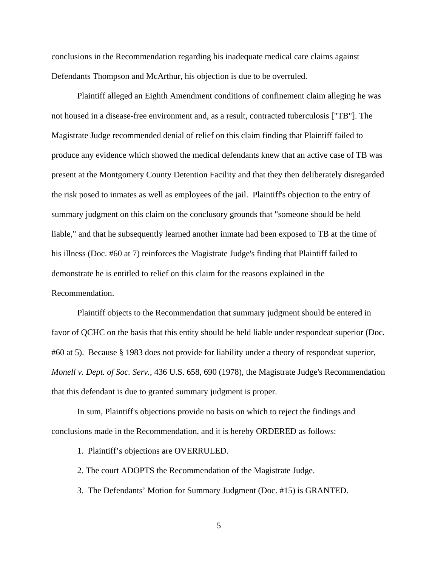conclusions in the Recommendation regarding his inadequate medical care claims against Defendants Thompson and McArthur, his objection is due to be overruled.

 Plaintiff alleged an Eighth Amendment conditions of confinement claim alleging he was not housed in a disease-free environment and, as a result, contracted tuberculosis ["TB"]. The Magistrate Judge recommended denial of relief on this claim finding that Plaintiff failed to produce any evidence which showed the medical defendants knew that an active case of TB was present at the Montgomery County Detention Facility and that they then deliberately disregarded the risk posed to inmates as well as employees of the jail. Plaintiff's objection to the entry of summary judgment on this claim on the conclusory grounds that "someone should be held liable," and that he subsequently learned another inmate had been exposed to TB at the time of his illness (Doc. #60 at 7) reinforces the Magistrate Judge's finding that Plaintiff failed to demonstrate he is entitled to relief on this claim for the reasons explained in the Recommendation.

 Plaintiff objects to the Recommendation that summary judgment should be entered in favor of QCHC on the basis that this entity should be held liable under respondeat superior (Doc. #60 at 5). Because § 1983 does not provide for liability under a theory of respondeat superior, *Monell v. Dept. of Soc. Serv.*, 436 U.S. 658, 690 (1978), the Magistrate Judge's Recommendation that this defendant is due to granted summary judgment is proper.

 In sum, Plaintiff's objections provide no basis on which to reject the findings and conclusions made in the Recommendation, and it is hereby ORDERED as follows:

1. Plaintiff's objections are OVERRULED.

2. The court ADOPTS the Recommendation of the Magistrate Judge.

3. The Defendants' Motion for Summary Judgment (Doc. #15) is GRANTED.